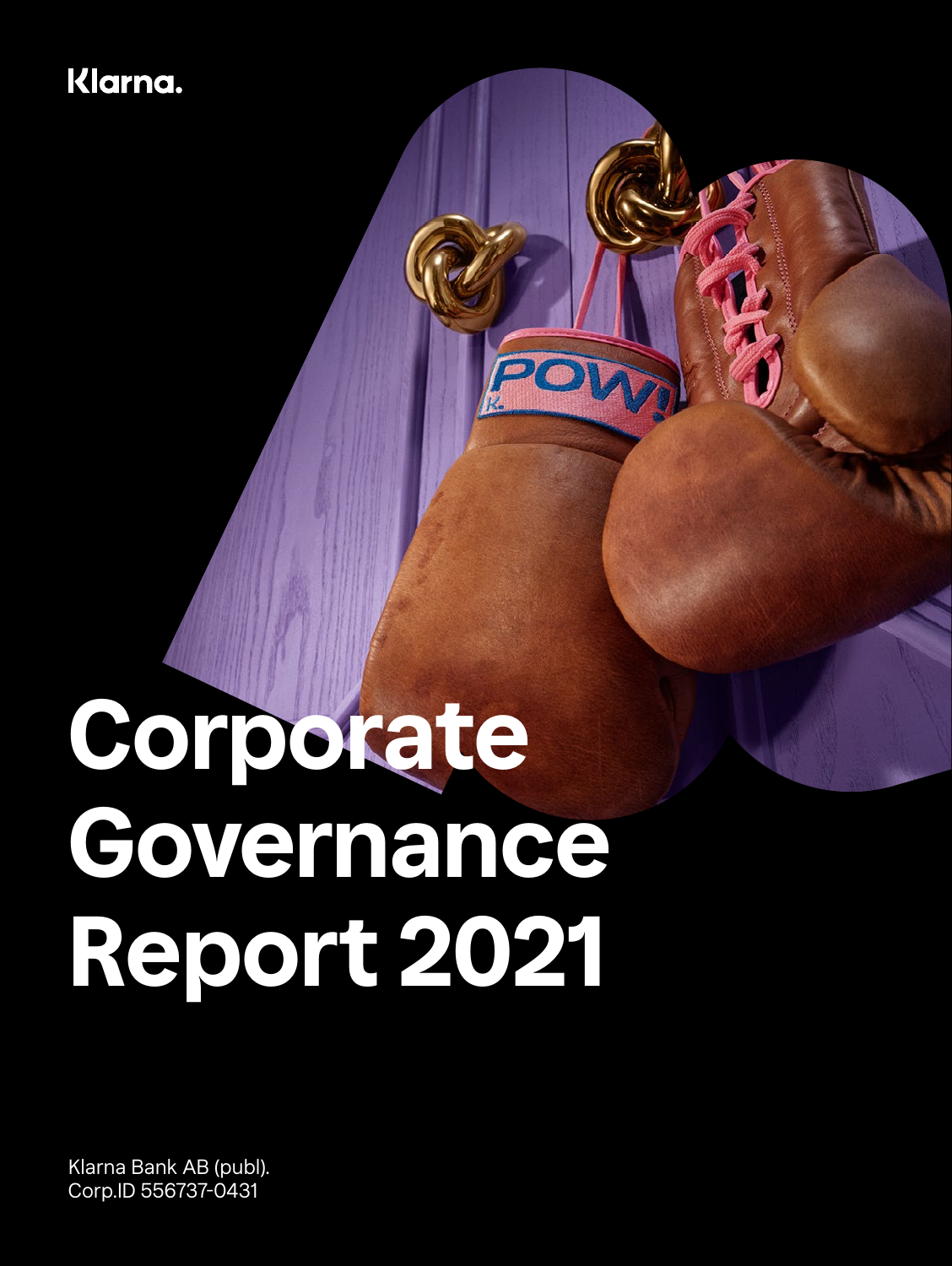# Klarna.

# **Corporate Governance Report 2021**

Klarna Bank AB (publ). Corp.ID 556737-0431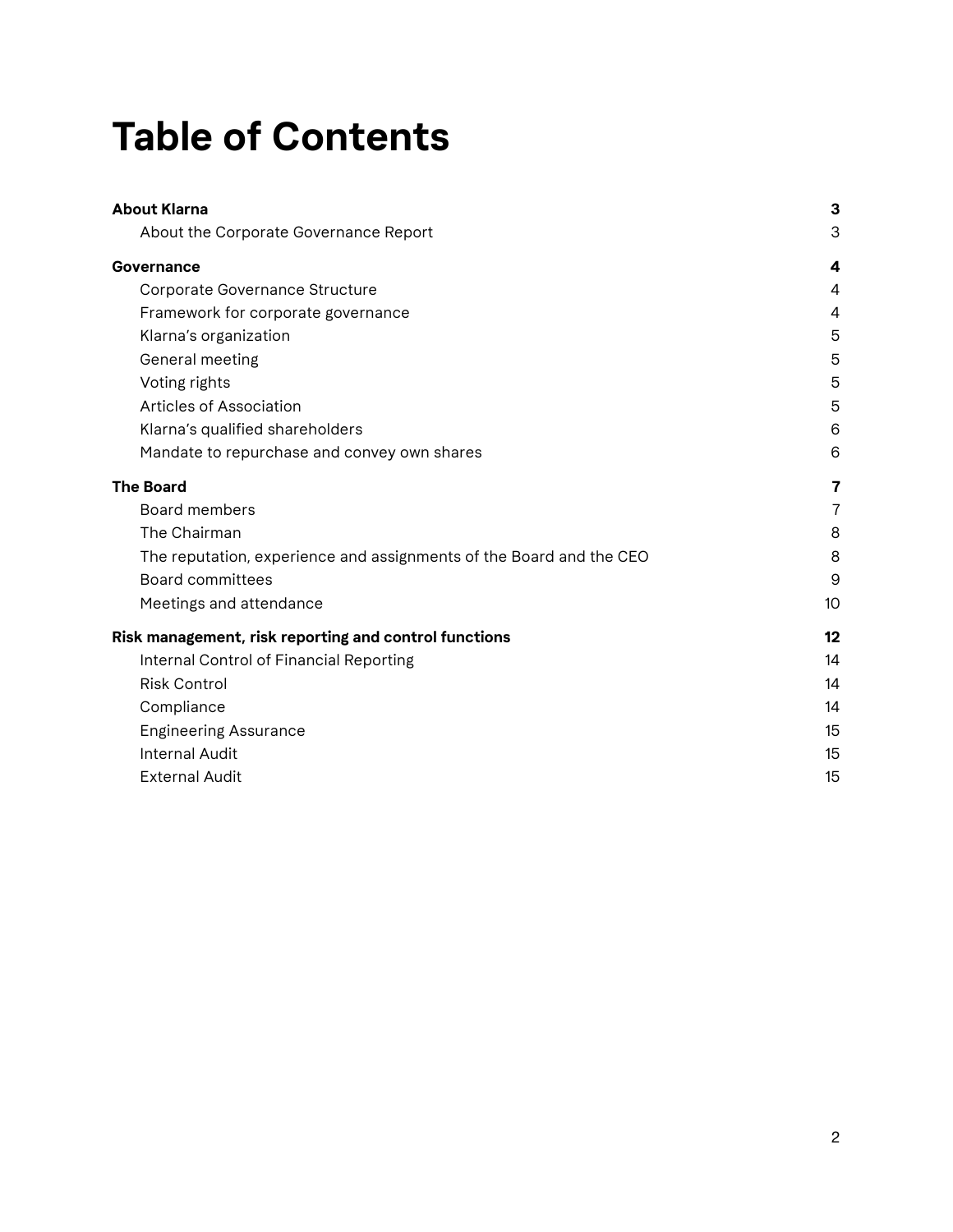# **Table of Contents**

| <b>About Klarna</b>                                                 | 3  |
|---------------------------------------------------------------------|----|
| About the Corporate Governance Report                               | 3  |
| Governance                                                          | 4  |
| Corporate Governance Structure                                      | 4  |
| Framework for corporate governance                                  | 4  |
| Klarna's organization                                               | 5  |
| General meeting                                                     | 5  |
| Voting rights                                                       | 5  |
| Articles of Association                                             | 5  |
| Klarna's qualified shareholders                                     | 6  |
| Mandate to repurchase and convey own shares                         | 6  |
| <b>The Board</b>                                                    | 7  |
| <b>Board members</b>                                                | 7  |
| The Chairman                                                        | 8  |
| The reputation, experience and assignments of the Board and the CEO | 8  |
| <b>Board committees</b>                                             | 9  |
| Meetings and attendance                                             | 10 |
| Risk management, risk reporting and control functions               | 12 |
| Internal Control of Financial Reporting                             | 14 |
| <b>Risk Control</b>                                                 | 14 |
| Compliance                                                          | 14 |
| <b>Engineering Assurance</b>                                        | 15 |
| <b>Internal Audit</b>                                               | 15 |
| <b>External Audit</b>                                               | 15 |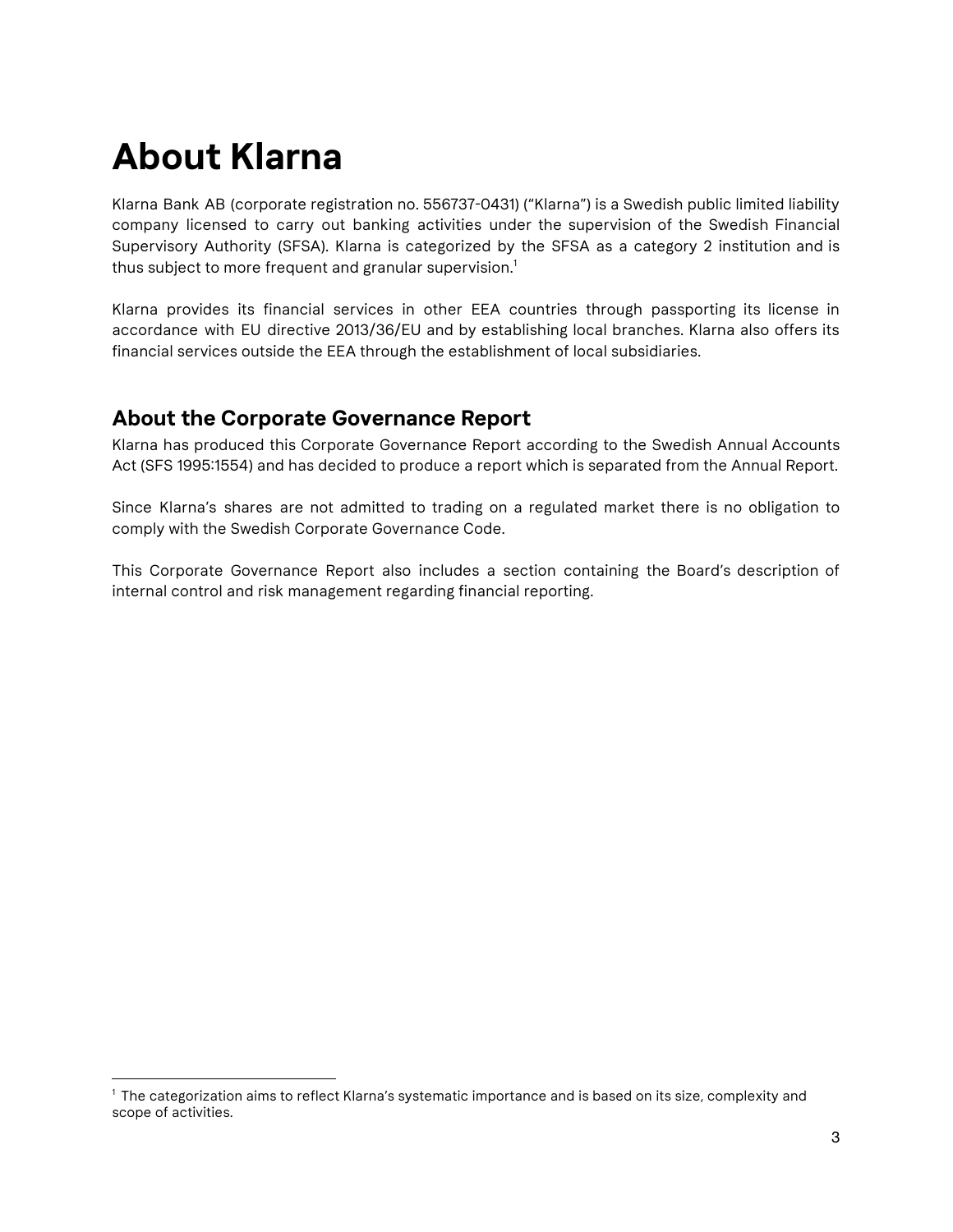# **About Klarna**

Klarna Bank AB (corporate registration no. 556737-0431) ("Klarna") is a Swedish public limited liability company licensed to carry out banking activities under the supervision of the Swedish Financial Supervisory Authority (SFSA). Klarna is categorized by the SFSA as a category 2 institution and is thus subject to more frequent and granular supervision. $^{\rm 1}$ 

Klarna provides its financial services in other EEA countries through passporting its license in accordance with EU directive 2013/36/EU and by establishing local branches. Klarna also offers its financial services outside the EEA through the establishment of local subsidiaries.

# **About the Corporate Governance Report**

Klarna has produced this Corporate Governance Report according to the Swedish Annual Accounts Act (SFS 1995:1554) and has decided to produce a report which is separated from the Annual Report.

Since Klarna's shares are not admitted to trading on a regulated market there is no obligation to comply with the Swedish Corporate Governance Code.

This Corporate Governance Report also includes a section containing the Board's description of internal control and risk management regarding financial reporting.

<sup>1</sup> The categorization aims to reflect Klarna's systematic importance and is based on its size, complexity and scope of activities.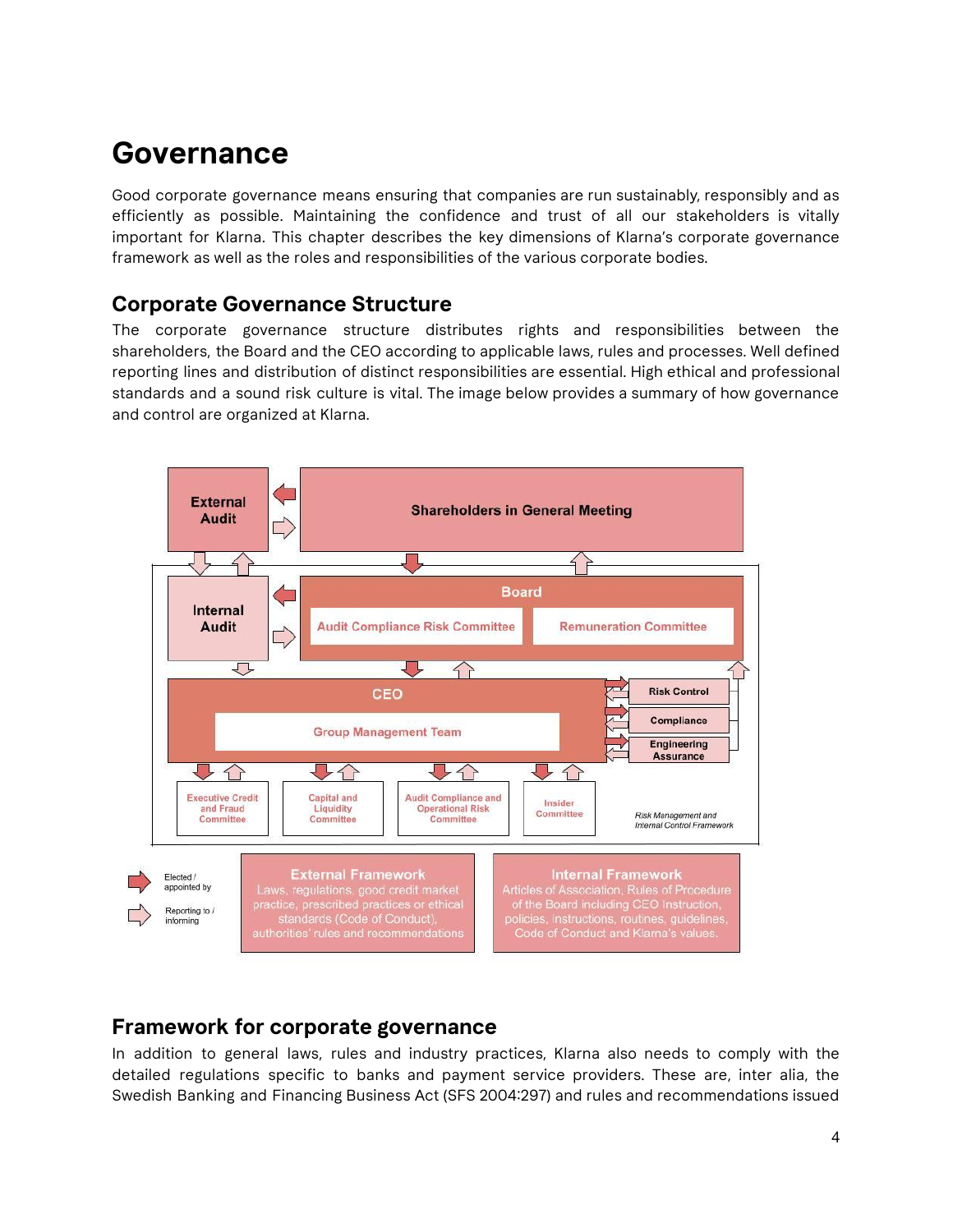# **Governance**

Good corporate governance means ensuring that companies are run sustainably, responsibly and as efficiently as possible. Maintaining the confidence and trust of all our stakeholders is vitally important for Klarna. This chapter describes the key dimensions of Klarna's corporate governance framework as well as the roles and responsibilities of the various corporate bodies.

# **Corporate Governance Structure**

The corporate governance structure distributes rights and responsibilities between the shareholders, the Board and the CEO according to applicable laws, rules and processes. Well defined reporting lines and distribution of distinct responsibilities are essential. High ethical and professional standards and a sound risk culture is vital. The image below provides a summary of how governance and control are organized at Klarna.



## **Framework for corporate governance**

In addition to general laws, rules and industry practices, Klarna also needs to comply with the detailed regulations specific to banks and payment service providers. These are, inter alia, the Swedish Banking and Financing Business Act (SFS 2004:297) and rules and recommendations issued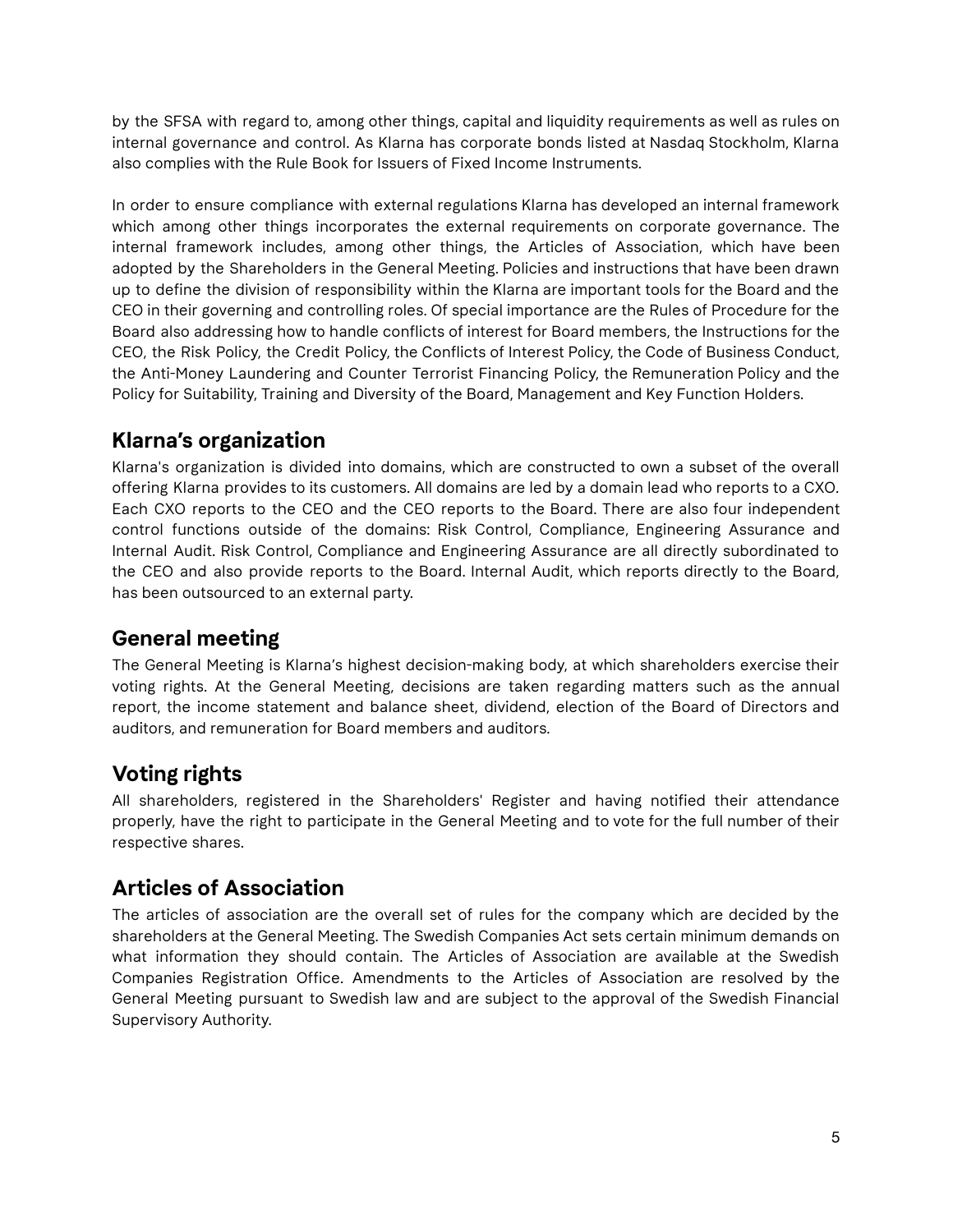by the SFSA with regard to, among other things, capital and liquidity requirements as well as rules on internal governance and control. As Klarna has corporate bonds listed at Nasdaq Stockholm, Klarna also complies with the Rule Book for Issuers of Fixed Income Instruments.

In order to ensure compliance with external regulations Klarna has developed an internal framework which among other things incorporates the external requirements on corporate governance. The internal framework includes, among other things, the Articles of Association, which have been adopted by the Shareholders in the General Meeting. Policies and instructions that have been drawn up to define the division of responsibility within the Klarna are important tools for the Board and the CEO in their governing and controlling roles. Of special importance are the Rules of Procedure for the Board also addressing how to handle conflicts of interest for Board members, the Instructions for the CEO, the Risk Policy, the Credit Policy, the Conflicts of Interest Policy, the Code of Business Conduct, the Anti-Money Laundering and Counter Terrorist Financing Policy, the Remuneration Policy and the Policy for Suitability, Training and Diversity of the Board, Management and Key Function Holders.

# **Klarna's organization**

Klarna's organization is divided into domains, which are constructed to own a subset of the overall offering Klarna provides to its customers. All domains are led by a domain lead who reports to a CXO. Each CXO reports to the CEO and the CEO reports to the Board. There are also four independent control functions outside of the domains: Risk Control, Compliance, Engineering Assurance and Internal Audit. Risk Control, Compliance and Engineering Assurance are all directly subordinated to the CEO and also provide reports to the Board. Internal Audit, which reports directly to the Board, has been outsourced to an external party.

# **General meeting**

The General Meeting is Klarna's highest decision-making body, at which shareholders exercise their voting rights. At the General Meeting, decisions are taken regarding matters such as the annual report, the income statement and balance sheet, dividend, election of the Board of Directors and auditors, and remuneration for Board members and auditors.

# **Voting rights**

All shareholders, registered in the Shareholders' Register and having notified their attendance properly, have the right to participate in the General Meeting and to vote for the full number of their respective shares.

# **Articles of Association**

The articles of association are the overall set of rules for the company which are decided by the shareholders at the General Meeting. The Swedish Companies Act sets certain minimum demands on what information they should contain. The Articles of Association are available at the Swedish Companies Registration Office. Amendments to the Articles of Association are resolved by the General Meeting pursuant to Swedish law and are subject to the approval of the Swedish Financial Supervisory Authority.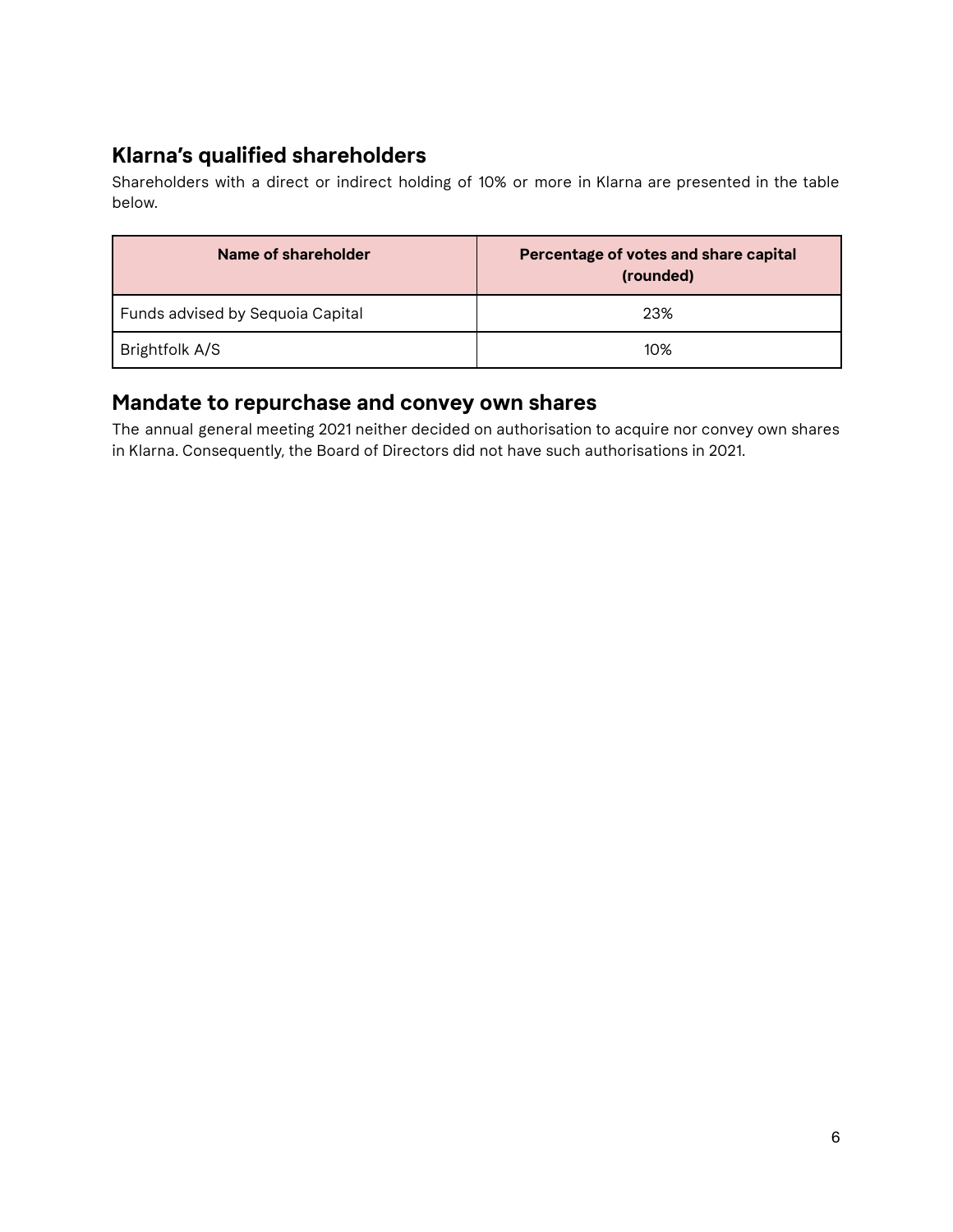# **Klarna's qualified shareholders**

Shareholders with a direct or indirect holding of 10% or more in Klarna are presented in the table below.

| Name of shareholder              | Percentage of votes and share capital<br>(rounded) |
|----------------------------------|----------------------------------------------------|
| Funds advised by Sequoia Capital | 23%                                                |
| Brightfolk A/S                   | 10%                                                |

# **Mandate to repurchase and convey own shares**

The annual general meeting 2021 neither decided on authorisation to acquire nor convey own shares in Klarna. Consequently, the Board of Directors did not have such authorisations in 2021.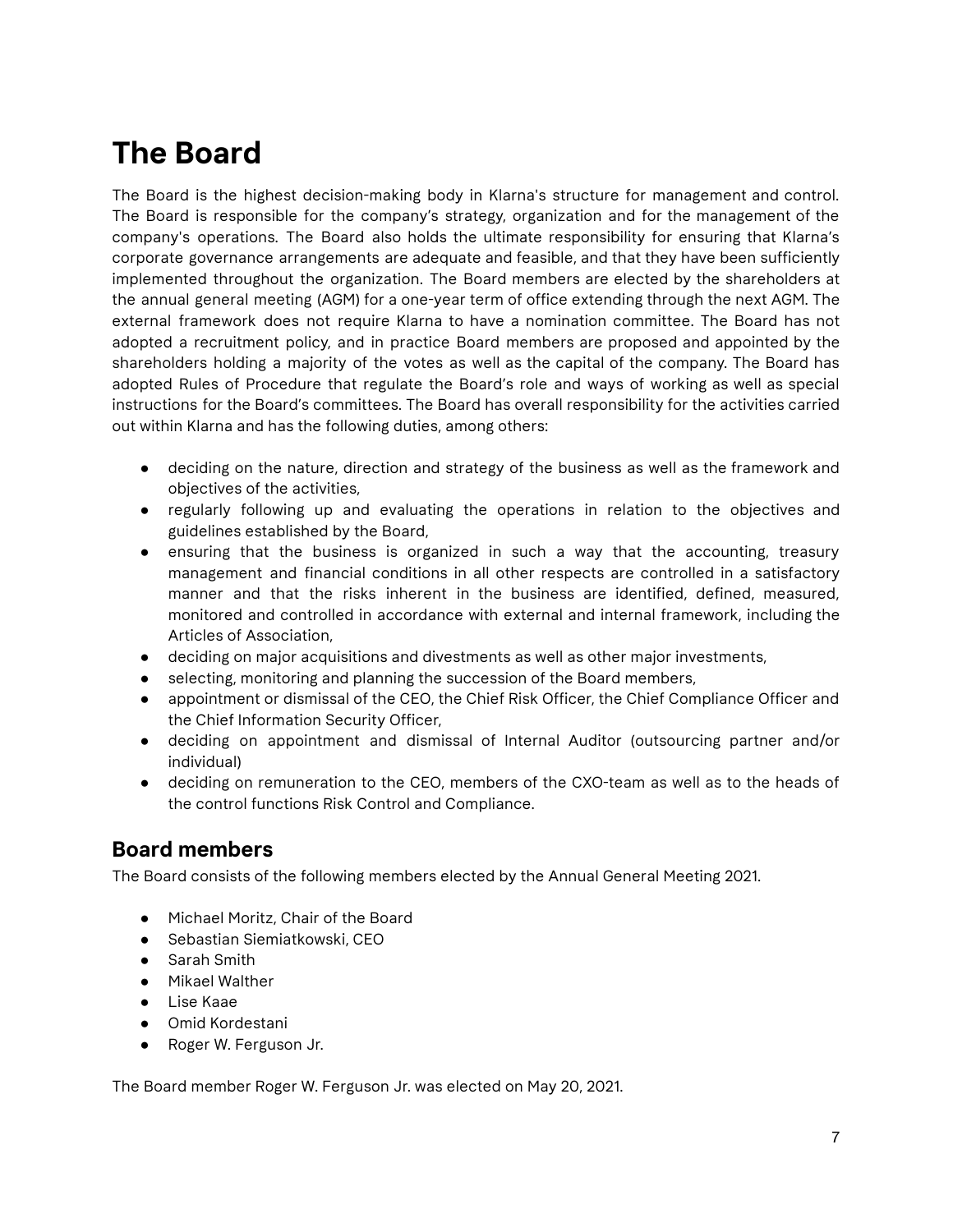# **The Board**

The Board is the highest decision-making body in Klarna's structure for management and control. The Board is responsible for the company's strategy, organization and for the management of the company's operations. The Board also holds the ultimate responsibility for ensuring that Klarna's corporate governance arrangements are adequate and feasible, and that they have been sufficiently implemented throughout the organization. The Board members are elected by the shareholders at the annual general meeting (AGM) for a one-year term of office extending through the next AGM. The external framework does not require Klarna to have a nomination committee. The Board has not adopted a recruitment policy, and in practice Board members are proposed and appointed by the shareholders holding a majority of the votes as well as the capital of the company. The Board has adopted Rules of Procedure that regulate the Board's role and ways of working as well as special instructions for the Board's committees. The Board has overall responsibility for the activities carried out within Klarna and has the following duties, among others:

- deciding on the nature, direction and strategy of the business as well as the framework and objectives of the activities,
- regularly following up and evaluating the operations in relation to the objectives and guidelines established by the Board,
- ensuring that the business is organized in such a way that the accounting, treasury management and financial conditions in all other respects are controlled in a satisfactory manner and that the risks inherent in the business are identified, defined, measured, monitored and controlled in accordance with external and internal framework, including the Articles of Association,
- deciding on major acquisitions and divestments as well as other major investments,
- selecting, monitoring and planning the succession of the Board members,
- appointment or dismissal of the CEO, the Chief Risk Officer, the Chief Compliance Officer and the Chief Information Security Officer,
- deciding on appointment and dismissal of Internal Auditor (outsourcing partner and/or individual)
- deciding on remuneration to the CEO, members of the CXO-team as well as to the heads of the control functions Risk Control and Compliance.

## **Board members**

The Board consists of the following members elected by the Annual General Meeting 2021.

- Michael Moritz, Chair of the Board
- Sebastian Siemiatkowski, CEO
- Sarah Smith
- Mikael Walther
- Lise Kaae
- Omid Kordestani
- Roger W. Ferguson Jr.

The Board member Roger W. Ferguson Jr. was elected on May 20, 2021.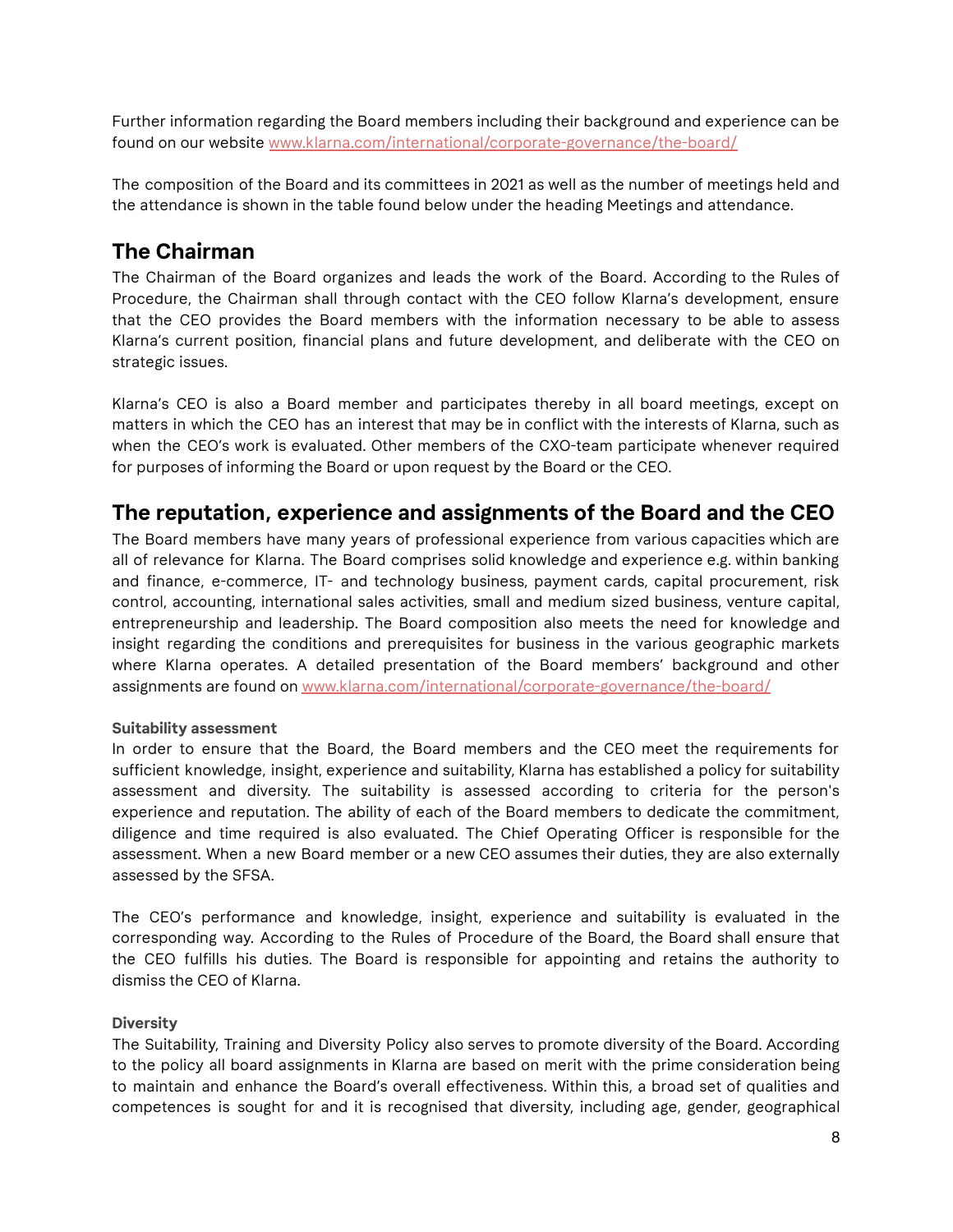Further information regarding the Board members including their background and experience can be found on our website [www.klarna.com/international/corporate-governance/the-board/](http://www.klarna.com/international/corporate-governance/the-board/)

The composition of the Board and its committees in 2021 as well as the number of meetings held and the attendance is shown in the table found below under the heading Meetings and attendance.

# **The Chairman**

The Chairman of the Board organizes and leads the work of the Board. According to the Rules of Procedure, the Chairman shall through contact with the CEO follow Klarna's development, ensure that the CEO provides the Board members with the information necessary to be able to assess Klarna's current position, financial plans and future development, and deliberate with the CEO on strategic issues.

Klarna's CEO is also a Board member and participates thereby in all board meetings, except on matters in which the CEO has an interest that may be in conflict with the interests of Klarna, such as when the CEO's work is evaluated. Other members of the CXO-team participate whenever required for purposes of informing the Board or upon request by the Board or the CEO.

# **The reputation, experience and assignments of the Board and the CEO**

The Board members have many years of professional experience from various capacities which are all of relevance for Klarna. The Board comprises solid knowledge and experience e.g. within banking and finance, e-commerce, IT- and technology business, payment cards, capital procurement, risk control, accounting, international sales activities, small and medium sized business, venture capital, entrepreneurship and leadership. The Board composition also meets the need for knowledge and insight regarding the conditions and prerequisites for business in the various geographic markets where Klarna operates. A detailed presentation of the Board members' background and other assignments are found on [www.klarna.com/international/corporate-governance/the-board/](https://www.klarna.com/international/corporate-governance/the-board/)

#### **Suitability assessment**

In order to ensure that the Board, the Board members and the CEO meet the requirements for sufficient knowledge, insight, experience and suitability, Klarna has established a policy for suitability assessment and diversity. The suitability is assessed according to criteria for the person's experience and reputation. The ability of each of the Board members to dedicate the commitment, diligence and time required is also evaluated. The Chief Operating Officer is responsible for the assessment. When a new Board member or a new CEO assumes their duties, they are also externally assessed by the SFSA.

The CEO's performance and knowledge, insight, experience and suitability is evaluated in the corresponding way. According to the Rules of Procedure of the Board, the Board shall ensure that the CEO fulfills his duties. The Board is responsible for appointing and retains the authority to dismiss the CEO of Klarna.

#### **Diversity**

The Suitability, Training and Diversity Policy also serves to promote diversity of the Board. According to the policy all board assignments in Klarna are based on merit with the prime consideration being to maintain and enhance the Board's overall effectiveness. Within this, a broad set of qualities and competences is sought for and it is recognised that diversity, including age, gender, geographical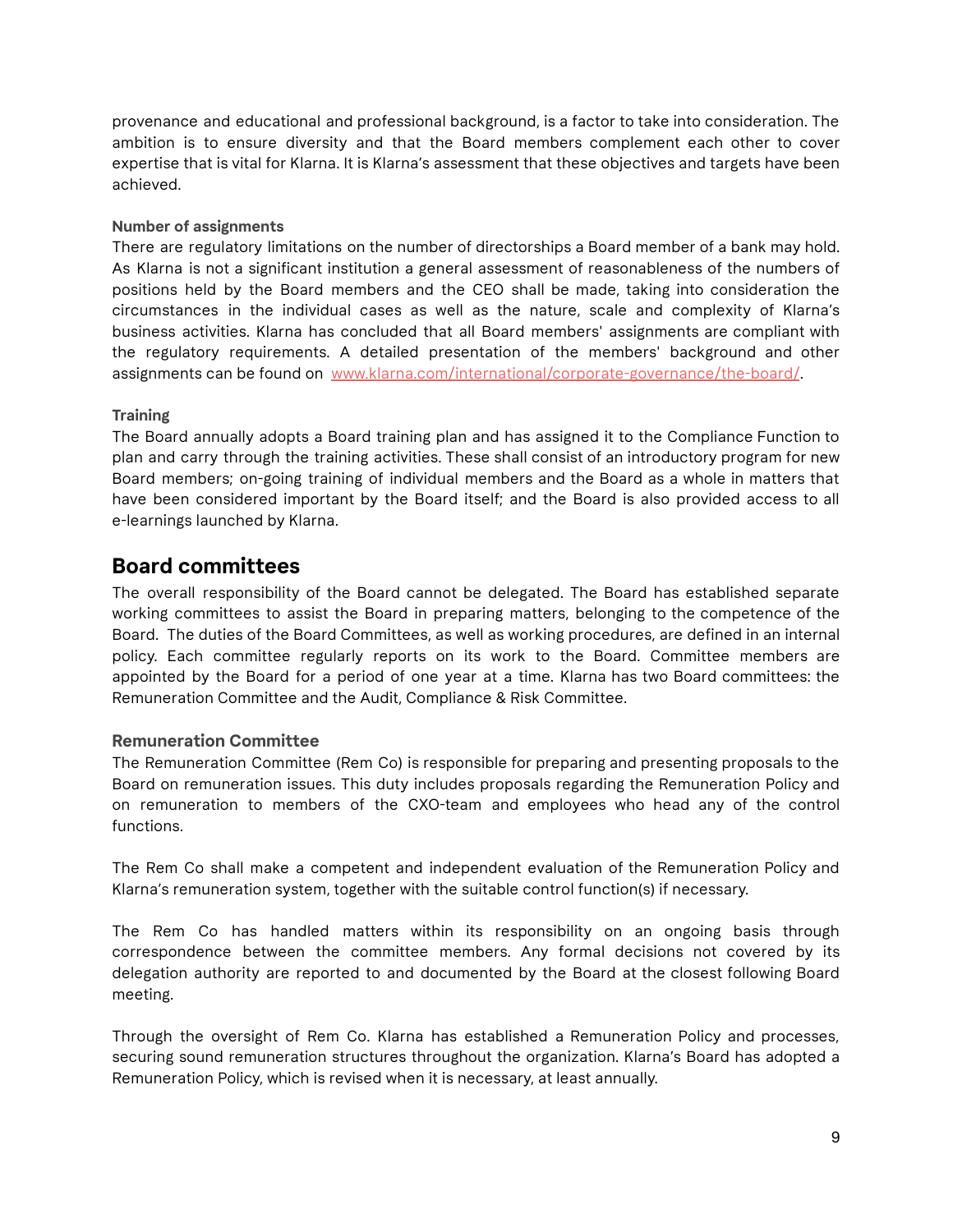provenance and educational and professional background, is a factor to take into consideration. The ambition is to ensure diversity and that the Board members complement each other to cover expertise that is vital for Klarna. It is Klarna's assessment that these objectives and targets have been achieved.

#### **Number of assignments**

There are regulatory limitations on the number of directorships a Board member of a bank may hold. As Klarna is not a significant institution a general assessment of reasonableness of the numbers of positions held by the Board members and the CEO shall be made, taking into consideration the circumstances in the individual cases as well as the nature, scale and complexity of Klarna's business activities. Klarna has concluded that all Board members' assignments are compliant with the regulatory requirements. A detailed presentation of the members' background and other assignments can be found on [www.klarna.com/international/corporate-governance/the-board/](http://www.klarna.com/international/corporate-governance/the-board/).

#### **Training**

The Board annually adopts a Board training plan and has assigned it to the Compliance Function to plan and carry through the training activities. These shall consist of an introductory program for new Board members; on-going training of individual members and the Board as a whole in matters that have been considered important by the Board itself; and the Board is also provided access to all e-learnings launched by Klarna.

## **Board committees**

The overall responsibility of the Board cannot be delegated. The Board has established separate working committees to assist the Board in preparing matters, belonging to the competence of the Board. The duties of the Board Committees, as well as working procedures, are defined in an internal policy. Each committee regularly reports on its work to the Board. Committee members are appointed by the Board for a period of one year at a time. Klarna has two Board committees: the Remuneration Committee and the Audit, Compliance & Risk Committee.

#### **Remuneration Committee**

The Remuneration Committee (Rem Co) is responsible for preparing and presenting proposals to the Board on remuneration issues. This duty includes proposals regarding the Remuneration Policy and on remuneration to members of the CXO-team and employees who head any of the control functions.

The Rem Co shall make a competent and independent evaluation of the Remuneration Policy and Klarna's remuneration system, together with the suitable control function(s) if necessary.

The Rem Co has handled matters within its responsibility on an ongoing basis through correspondence between the committee members. Any formal decisions not covered by its delegation authority are reported to and documented by the Board at the closest following Board meeting.

Through the oversight of Rem Co. Klarna has established a Remuneration Policy and processes, securing sound remuneration structures throughout the organization. Klarna's Board has adopted a Remuneration Policy, which is revised when it is necessary, at least annually.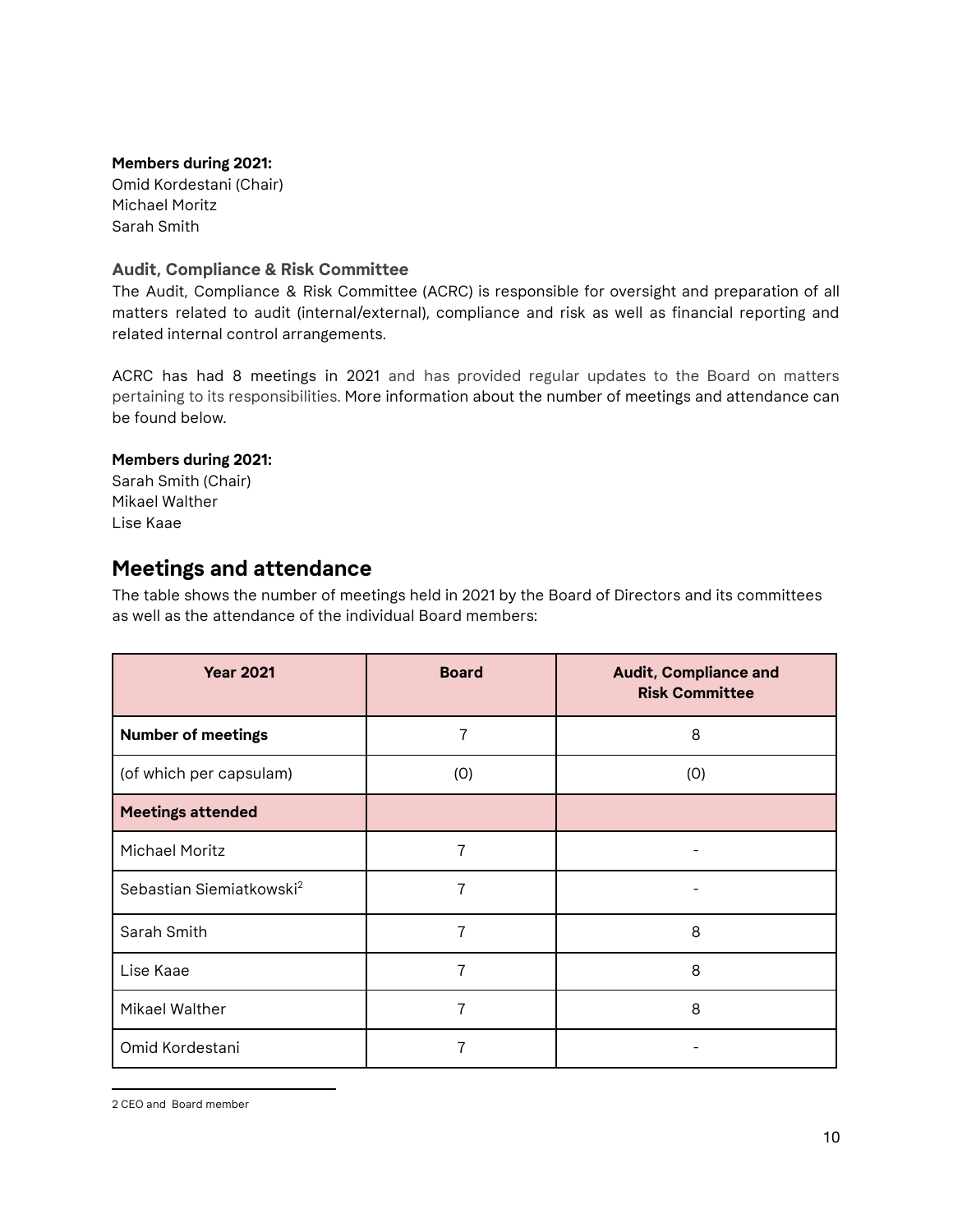#### **Members during 2021:**

Omid Kordestani (Chair) Michael Moritz Sarah Smith

#### **Audit, Compliance & Risk Committee**

The Audit, Compliance & Risk Committee (ACRC) is responsible for oversight and preparation of all matters related to audit (internal/external), compliance and risk as well as financial reporting and related internal control arrangements.

ACRC has had 8 meetings in 2021 and has provided regular updates to the Board on matters pertaining to its responsibilities. More information about the number of meetings and attendance can be found below.

#### **Members during 2021:**

Sarah Smith (Chair) Mikael Walther Lise Kaae

## **Meetings and attendance**

The table shows the number of meetings held in 2021 by the Board of Directors and its committees as well as the attendance of the individual Board members:

| <b>Year 2021</b>                     | <b>Board</b> | <b>Audit, Compliance and</b><br><b>Risk Committee</b> |
|--------------------------------------|--------------|-------------------------------------------------------|
| <b>Number of meetings</b>            | 7            | 8                                                     |
| (of which per capsulam)              | (0)          | (0)                                                   |
| <b>Meetings attended</b>             |              |                                                       |
| <b>Michael Moritz</b>                | 7            |                                                       |
| Sebastian Siemiatkowski <sup>2</sup> | 7            |                                                       |
| Sarah Smith                          | 7            | 8                                                     |
| Lise Kaae                            | 7            | 8                                                     |
| Mikael Walther                       | 7            | 8                                                     |
| Omid Kordestani                      |              |                                                       |

<sup>2</sup> CEO and Board member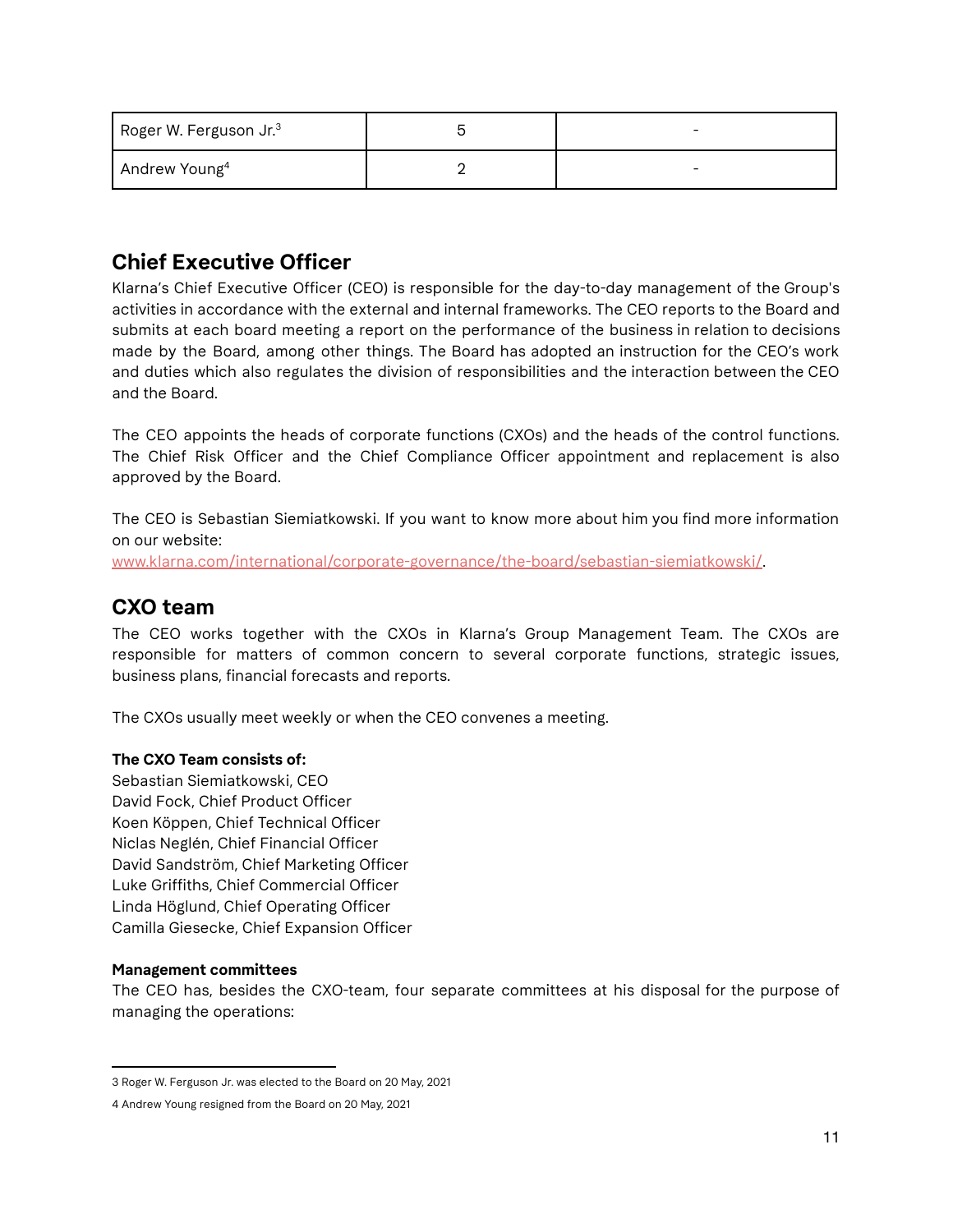| Roger W. Ferguson Jr. $3$ |  |
|---------------------------|--|
| Andrew Young <sup>4</sup> |  |

# **Chief Executive Officer**

Klarna's Chief Executive Officer (CEO) is responsible for the day-to-day management of the Group's activities in accordance with the external and internal frameworks. The CEO reports to the Board and submits at each board meeting a report on the performance of the business in relation to decisions made by the Board, among other things. The Board has adopted an instruction for the CEO's work and duties which also regulates the division of responsibilities and the interaction between the CEO and the Board.

The CEO appoints the heads of corporate functions (CXOs) and the heads of the control functions. The Chief Risk Officer and the Chief Compliance Officer appointment and replacement is also approved by the Board.

The CEO is Sebastian Siemiatkowski. If you want to know more about him you find more information on our website:

[www.klarna.com/international/corporate-governance/the-board/sebastian-siemiatkowski/.](https://www.klarna.com/international/corporate-governance/the-board/sebastian-siemiatkowski/)

# **CXO team**

The CEO works together with the CXOs in Klarna's Group Management Team. The CXOs are responsible for matters of common concern to several corporate functions, strategic issues, business plans, financial forecasts and reports.

The CXOs usually meet weekly or when the CEO convenes a meeting.

#### **The CXO Team consists of:**

Sebastian Siemiatkowski, CEO David Fock, Chief Product Officer Koen Köppen, Chief Technical Officer Niclas Neglén, Chief Financial Officer David Sandström, Chief Marketing Officer Luke Griffiths, Chief Commercial Officer Linda Höglund, Chief Operating Officer Camilla Giesecke, Chief Expansion Officer

#### **Management committees**

The CEO has, besides the CXO-team, four separate committees at his disposal for the purpose of managing the operations:

<sup>3</sup> Roger W. Ferguson Jr. was elected to the Board on 20 May, 2021

<sup>4</sup> Andrew Young resigned from the Board on 20 May, 2021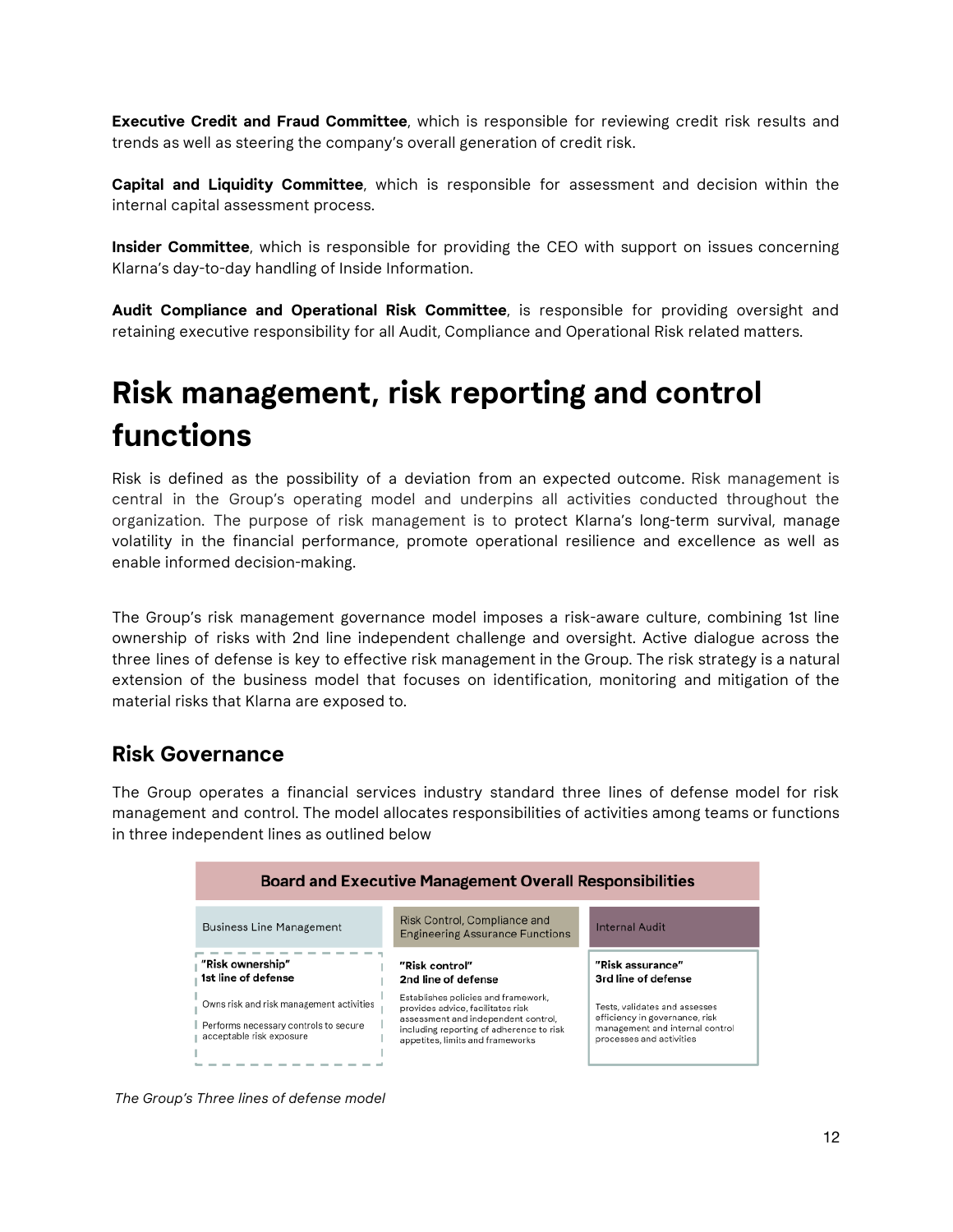**Executive Credit and Fraud Committee**, which is responsible for reviewing credit risk results and trends as well as steering the company's overall generation of credit risk.

**Capital and Liquidity Committee**, which is responsible for assessment and decision within the internal capital assessment process.

**Insider Committee**, which is responsible for providing the CEO with support on issues concerning Klarna's day-to-day handling of Inside Information.

**Audit Compliance and Operational Risk Committee**, is responsible for providing oversight and retaining executive responsibility for all Audit, Compliance and Operational Risk related matters.

# **Risk management, risk reporting and control functions**

Risk is defined as the possibility of a deviation from an expected outcome. Risk management is central in the Group's operating model and underpins all activities conducted throughout the organization. The purpose of risk management is to protect Klarna's long-term survival, manage volatility in the financial performance, promote operational resilience and excellence as well as enable informed decision-making.

The Group's risk management governance model imposes a risk-aware culture, combining 1st line ownership of risks with 2nd line independent challenge and oversight. Active dialogue across the three lines of defense is key to effective risk management in the Group. The risk strategy is a natural extension of the business model that focuses on identification, monitoring and mitigation of the material risks that Klarna are exposed to.

## **Risk Governance**

The Group operates a financial services industry standard three lines of defense model for risk management and control. The model allocates responsibilities of activities among teams or functions in three independent lines as outlined below



*The Group's Three lines of defense model*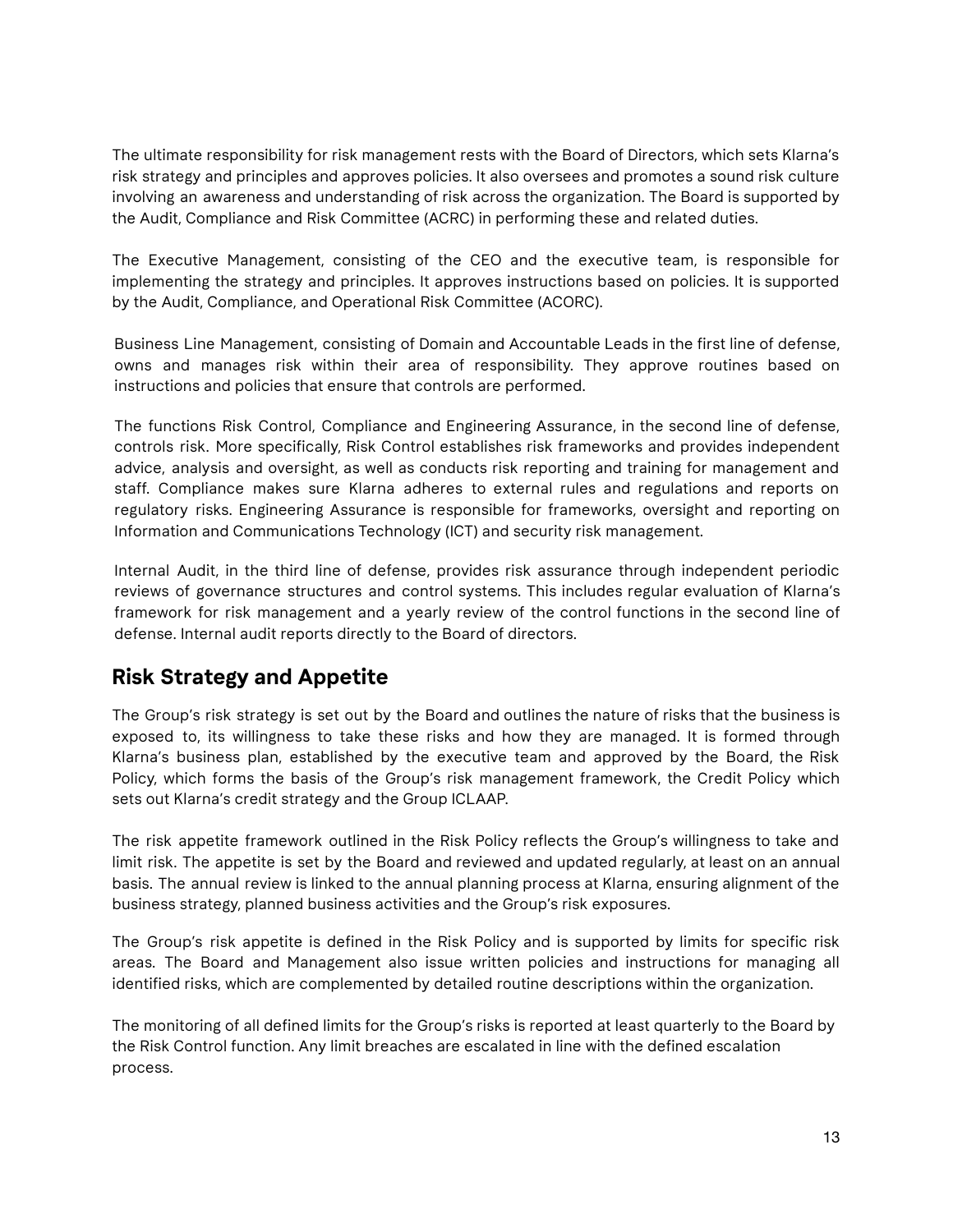The ultimate responsibility for risk management rests with the Board of Directors, which sets Klarna's risk strategy and principles and approves policies. It also oversees and promotes a sound risk culture involving an awareness and understanding of risk across the organization. The Board is supported by the Audit, Compliance and Risk Committee (ACRC) in performing these and related duties.

The Executive Management, consisting of the CEO and the executive team, is responsible for implementing the strategy and principles. It approves instructions based on policies. It is supported by the Audit, Compliance, and Operational Risk Committee (ACORC).

Business Line Management, consisting of Domain and Accountable Leads in the first line of defense, owns and manages risk within their area of responsibility. They approve routines based on instructions and policies that ensure that controls are performed.

The functions Risk Control, Compliance and Engineering Assurance, in the second line of defense, controls risk. More specifically, Risk Control establishes risk frameworks and provides independent advice, analysis and oversight, as well as conducts risk reporting and training for management and staff. Compliance makes sure Klarna adheres to external rules and regulations and reports on regulatory risks. Engineering Assurance is responsible for frameworks, oversight and reporting on Information and Communications Technology (ICT) and security risk management.

Internal Audit, in the third line of defense, provides risk assurance through independent periodic reviews of governance structures and control systems. This includes regular evaluation of Klarna's framework for risk management and a yearly review of the control functions in the second line of defense. Internal audit reports directly to the Board of directors.

# **Risk Strategy and Appetite**

The Group's risk strategy is set out by the Board and outlines the nature of risks that the business is exposed to, its willingness to take these risks and how they are managed. It is formed through Klarna's business plan, established by the executive team and approved by the Board, the Risk Policy, which forms the basis of the Group's risk management framework, the Credit Policy which sets out Klarna's credit strategy and the Group ICLAAP.

The risk appetite framework outlined in the Risk Policy reflects the Group's willingness to take and limit risk. The appetite is set by the Board and reviewed and updated regularly, at least on an annual basis. The annual review is linked to the annual planning process at Klarna, ensuring alignment of the business strategy, planned business activities and the Group's risk exposures.

The Group's risk appetite is defined in the Risk Policy and is supported by limits for specific risk areas. The Board and Management also issue written policies and instructions for managing all identified risks, which are complemented by detailed routine descriptions within the organization.

The monitoring of all defined limits for the Group's risks is reported at least quarterly to the Board by the Risk Control function. Any limit breaches are escalated in line with the defined escalation process.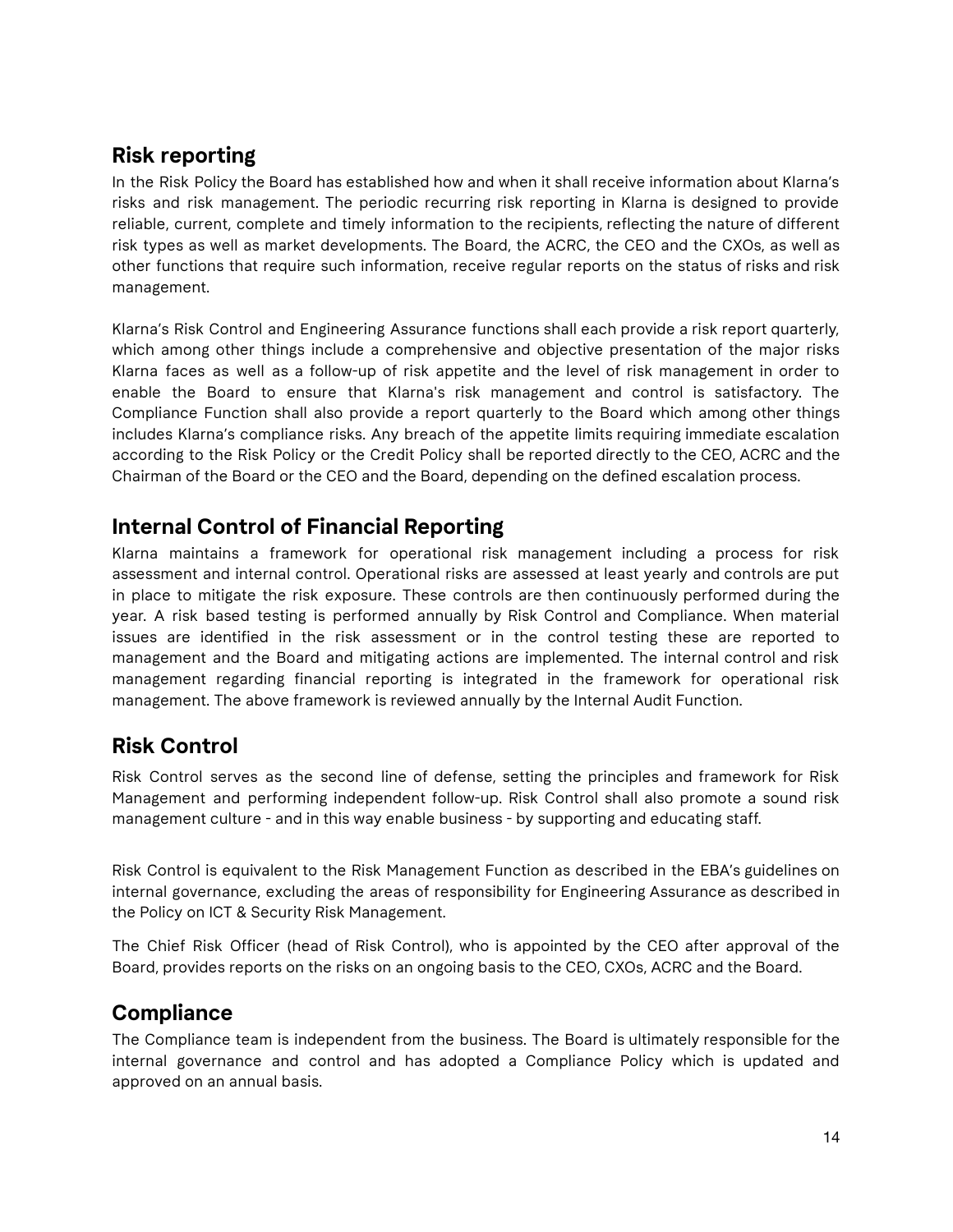# **Risk reporting**

In the Risk Policy the Board has established how and when it shall receive information about Klarna's risks and risk management. The periodic recurring risk reporting in Klarna is designed to provide reliable, current, complete and timely information to the recipients, reflecting the nature of different risk types as well as market developments. The Board, the ACRC, the CEO and the CXOs, as well as other functions that require such information, receive regular reports on the status of risks and risk management.

Klarna's Risk Control and Engineering Assurance functions shall each provide a risk report quarterly, which among other things include a comprehensive and objective presentation of the major risks Klarna faces as well as a follow-up of risk appetite and the level of risk management in order to enable the Board to ensure that Klarna's risk management and control is satisfactory. The Compliance Function shall also provide a report quarterly to the Board which among other things includes Klarna's compliance risks. Any breach of the appetite limits requiring immediate escalation according to the Risk Policy or the Credit Policy shall be reported directly to the CEO, ACRC and the Chairman of the Board or the CEO and the Board, depending on the defined escalation process.

# **Internal Control of Financial Reporting**

Klarna maintains a framework for operational risk management including a process for risk assessment and internal control. Operational risks are assessed at least yearly and controls are put in place to mitigate the risk exposure. These controls are then continuously performed during the year. A risk based testing is performed annually by Risk Control and Compliance. When material issues are identified in the risk assessment or in the control testing these are reported to management and the Board and mitigating actions are implemented. The internal control and risk management regarding financial reporting is integrated in the framework for operational risk management. The above framework is reviewed annually by the Internal Audit Function.

# **Risk Control**

Risk Control serves as the second line of defense, setting the principles and framework for Risk Management and performing independent follow-up. Risk Control shall also promote a sound risk management culture - and in this way enable business - by supporting and educating staff.

Risk Control is equivalent to the Risk Management Function as described in the EBA's guidelines on internal governance, excluding the areas of responsibility for Engineering Assurance as described in the Policy on ICT & Security Risk Management.

The Chief Risk Officer (head of Risk Control), who is appointed by the CEO after approval of the Board, provides reports on the risks on an ongoing basis to the CEO, CXOs, ACRC and the Board.

# **Compliance**

The Compliance team is independent from the business. The Board is ultimately responsible for the internal governance and control and has adopted a Compliance Policy which is updated and approved on an annual basis.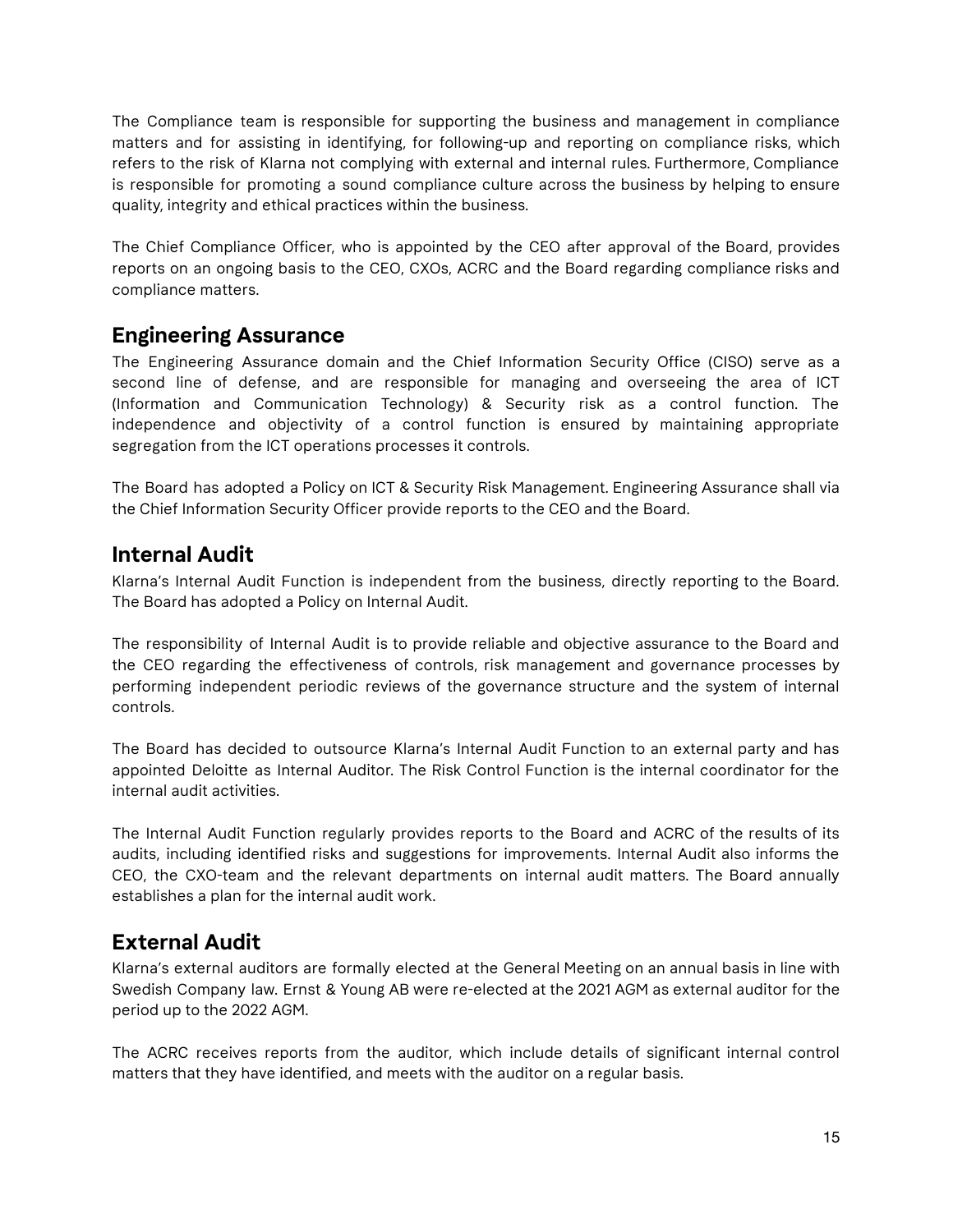The Compliance team is responsible for supporting the business and management in compliance matters and for assisting in identifying, for following-up and reporting on compliance risks, which refers to the risk of Klarna not complying with external and internal rules. Furthermore, Compliance is responsible for promoting a sound compliance culture across the business by helping to ensure quality, integrity and ethical practices within the business.

The Chief Compliance Officer, who is appointed by the CEO after approval of the Board, provides reports on an ongoing basis to the CEO, CXOs, ACRC and the Board regarding compliance risks and compliance matters.

# **Engineering Assurance**

The Engineering Assurance domain and the Chief Information Security Office (CISO) serve as a second line of defense, and are responsible for managing and overseeing the area of ICT (Information and Communication Technology) & Security risk as a control function. The independence and objectivity of a control function is ensured by maintaining appropriate segregation from the ICT operations processes it controls.

The Board has adopted a Policy on ICT & Security Risk Management. Engineering Assurance shall via the Chief Information Security Officer provide reports to the CEO and the Board.

# **Internal Audit**

Klarna's Internal Audit Function is independent from the business, directly reporting to the Board. The Board has adopted a Policy on Internal Audit.

The responsibility of Internal Audit is to provide reliable and objective assurance to the Board and the CEO regarding the effectiveness of controls, risk management and governance processes by performing independent periodic reviews of the governance structure and the system of internal controls.

The Board has decided to outsource Klarna's Internal Audit Function to an external party and has appointed Deloitte as Internal Auditor. The Risk Control Function is the internal coordinator for the internal audit activities.

The Internal Audit Function regularly provides reports to the Board and ACRC of the results of its audits, including identified risks and suggestions for improvements. Internal Audit also informs the CEO, the CXO-team and the relevant departments on internal audit matters. The Board annually establishes a plan for the internal audit work.

# **External Audit**

Klarna's external auditors are formally elected at the General Meeting on an annual basis in line with Swedish Company law. Ernst & Young AB were re-elected at the 2021 AGM as external auditor for the period up to the 2022 AGM.

The ACRC receives reports from the auditor, which include details of significant internal control matters that they have identified, and meets with the auditor on a regular basis.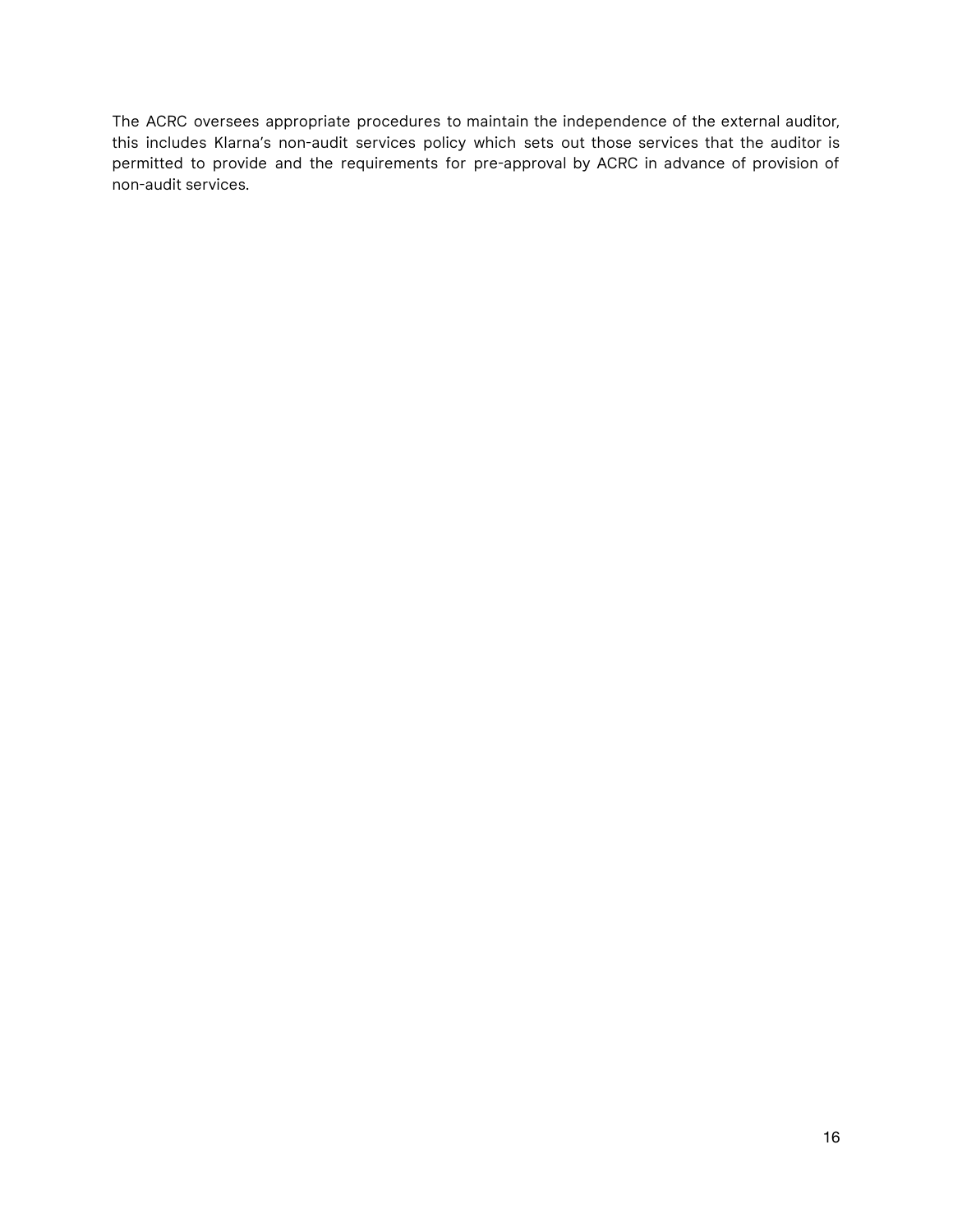The ACRC oversees appropriate procedures to maintain the independence of the external auditor, this includes Klarna's non-audit services policy which sets out those services that the auditor is permitted to provide and the requirements for pre-approval by ACRC in advance of provision of non-audit services.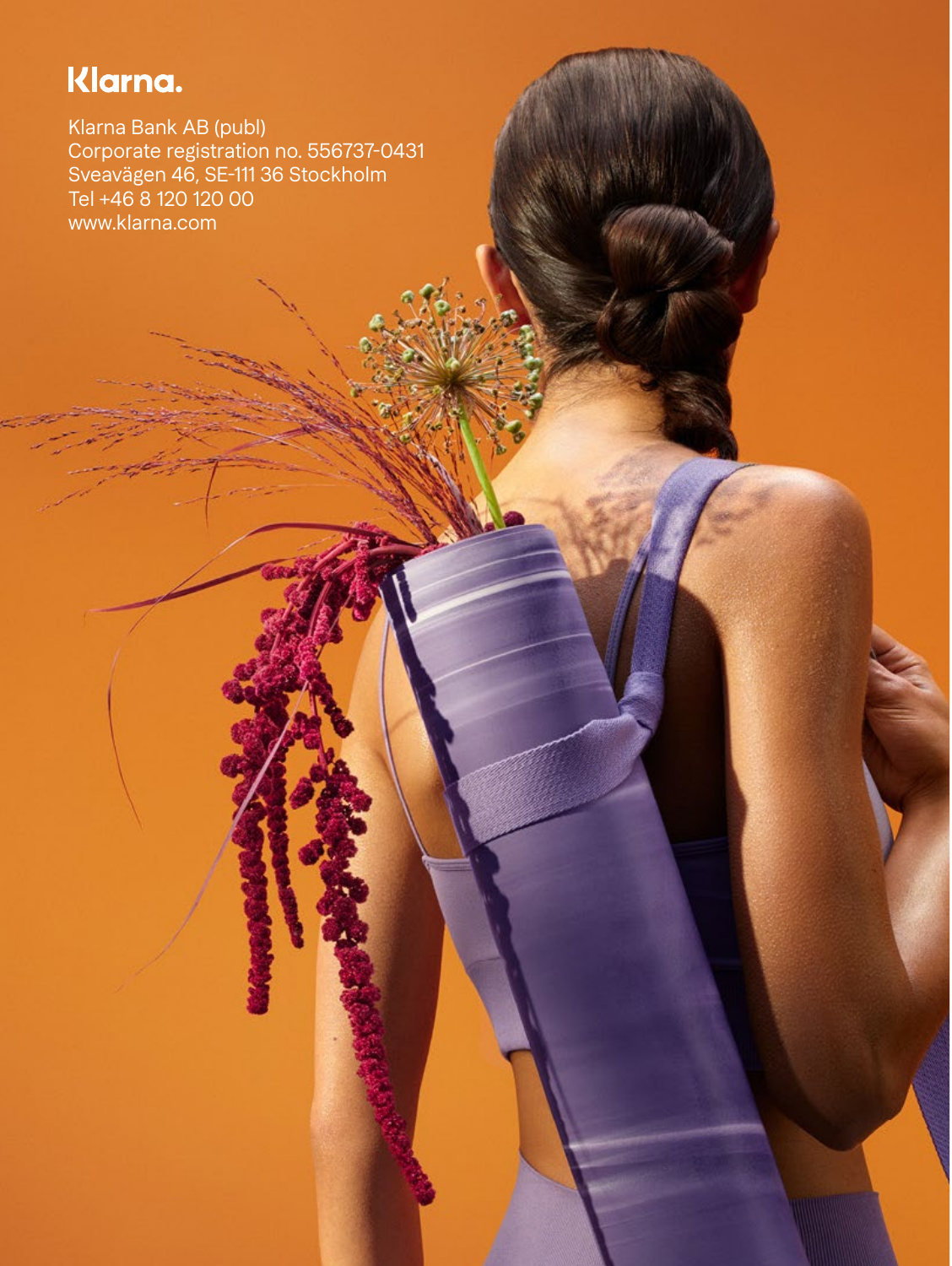# Klarna.

Klarna Bank AB (publ) Corporate registration no. 556737-0431 Sveavägen 46, SE-111 36 Stockholm Tel +46 8 120 120 00 [www.klarna.com](https://www.klarna.com/international/)